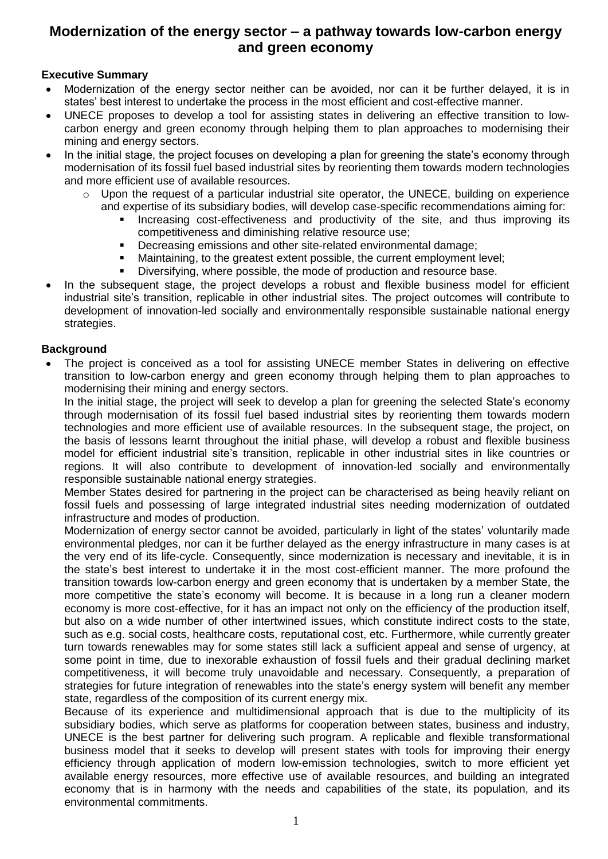# **Modernization of the energy sector – a pathway towards low-carbon energy and green economy**

### **Executive Summary**

- Modernization of the energy sector neither can be avoided, nor can it be further delayed, it is in states' best interest to undertake the process in the most efficient and cost-effective manner.
- UNECE proposes to develop a tool for assisting states in delivering an effective transition to lowcarbon energy and green economy through helping them to plan approaches to modernising their mining and energy sectors.
- In the initial stage, the project focuses on developing a plan for greening the state's economy through modernisation of its fossil fuel based industrial sites by reorienting them towards modern technologies and more efficient use of available resources.
	- o Upon the request of a particular industrial site operator, the UNECE, building on experience and expertise of its subsidiary bodies, will develop case-specific recommendations aiming for:
		- Increasing cost-effectiveness and productivity of the site, and thus improving its competitiveness and diminishing relative resource use;
		- Decreasing emissions and other site-related environmental damage;
		- Maintaining, to the greatest extent possible, the current employment level;
		- Diversifying, where possible, the mode of production and resource base.
- In the subsequent stage, the project develops a robust and flexible business model for efficient industrial site's transition, replicable in other industrial sites. The project outcomes will contribute to development of innovation-led socially and environmentally responsible sustainable national energy strategies.

#### **Background**

 The project is conceived as a tool for assisting UNECE member States in delivering on effective transition to low-carbon energy and green economy through helping them to plan approaches to modernising their mining and energy sectors.

In the initial stage, the project will seek to develop a plan for greening the selected State's economy through modernisation of its fossil fuel based industrial sites by reorienting them towards modern technologies and more efficient use of available resources. In the subsequent stage, the project, on the basis of lessons learnt throughout the initial phase, will develop a robust and flexible business model for efficient industrial site's transition, replicable in other industrial sites in like countries or regions. It will also contribute to development of innovation-led socially and environmentally responsible sustainable national energy strategies.

Member States desired for partnering in the project can be characterised as being heavily reliant on fossil fuels and possessing of large integrated industrial sites needing modernization of outdated infrastructure and modes of production.

Modernization of energy sector cannot be avoided, particularly in light of the states' voluntarily made environmental pledges, nor can it be further delayed as the energy infrastructure in many cases is at the very end of its life-cycle. Consequently, since modernization is necessary and inevitable, it is in the state's best interest to undertake it in the most cost-efficient manner. The more profound the transition towards low-carbon energy and green economy that is undertaken by a member State, the more competitive the state's economy will become. It is because in a long run a cleaner modern economy is more cost-effective, for it has an impact not only on the efficiency of the production itself, but also on a wide number of other intertwined issues, which constitute indirect costs to the state, such as e.g. social costs, healthcare costs, reputational cost, etc. Furthermore, while currently greater turn towards renewables may for some states still lack a sufficient appeal and sense of urgency, at some point in time, due to inexorable exhaustion of fossil fuels and their gradual declining market competitiveness, it will become truly unavoidable and necessary. Consequently, a preparation of strategies for future integration of renewables into the state's energy system will benefit any member state, regardless of the composition of its current energy mix.

Because of its experience and multidimensional approach that is due to the multiplicity of its subsidiary bodies, which serve as platforms for cooperation between states, business and industry, UNECE is the best partner for delivering such program. A replicable and flexible transformational business model that it seeks to develop will present states with tools for improving their energy efficiency through application of modern low-emission technologies, switch to more efficient yet available energy resources, more effective use of available resources, and building an integrated economy that is in harmony with the needs and capabilities of the state, its population, and its environmental commitments.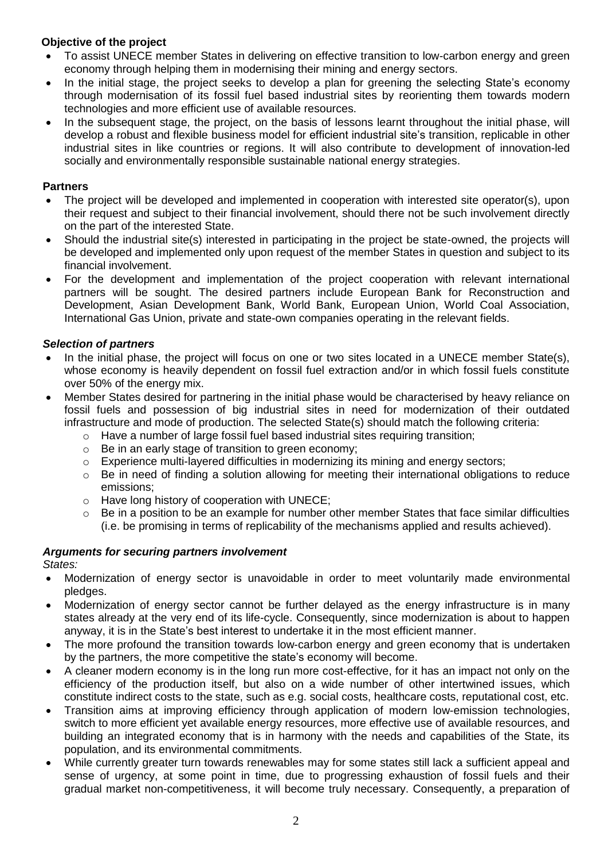# **Objective of the project**

- To assist UNECE member States in delivering on effective transition to low-carbon energy and green economy through helping them in modernising their mining and energy sectors.
- In the initial stage, the project seeks to develop a plan for greening the selecting State's economy through modernisation of its fossil fuel based industrial sites by reorienting them towards modern technologies and more efficient use of available resources.
- In the subsequent stage, the project, on the basis of lessons learnt throughout the initial phase, will develop a robust and flexible business model for efficient industrial site's transition, replicable in other industrial sites in like countries or regions. It will also contribute to development of innovation-led socially and environmentally responsible sustainable national energy strategies.

#### **Partners**

- The project will be developed and implemented in cooperation with interested site operator(s), upon their request and subject to their financial involvement, should there not be such involvement directly on the part of the interested State.
- Should the industrial site(s) interested in participating in the project be state-owned, the projects will be developed and implemented only upon request of the member States in question and subject to its financial involvement.
- For the development and implementation of the project cooperation with relevant international partners will be sought. The desired partners include European Bank for Reconstruction and Development, Asian Development Bank, World Bank, European Union, World Coal Association, International Gas Union, private and state-own companies operating in the relevant fields.

## *Selection of partners*

- In the initial phase, the project will focus on one or two sites located in a UNECE member State(s), whose economy is heavily dependent on fossil fuel extraction and/or in which fossil fuels constitute over 50% of the energy mix.
- Member States desired for partnering in the initial phase would be characterised by heavy reliance on fossil fuels and possession of big industrial sites in need for modernization of their outdated infrastructure and mode of production. The selected State(s) should match the following criteria:
	- o Have a number of large fossil fuel based industrial sites requiring transition;
	- o Be in an early stage of transition to green economy;
	- $\circ$  Experience multi-layered difficulties in modernizing its mining and energy sectors;
	- o Be in need of finding a solution allowing for meeting their international obligations to reduce emissions;
	- o Have long history of cooperation with UNECE;
	- $\circ$  Be in a position to be an example for number other member States that face similar difficulties (i.e. be promising in terms of replicability of the mechanisms applied and results achieved).

## *Arguments for securing partners involvement*

*States:*

- Modernization of energy sector is unavoidable in order to meet voluntarily made environmental pledges.
- Modernization of energy sector cannot be further delayed as the energy infrastructure is in many states already at the very end of its life-cycle. Consequently, since modernization is about to happen anyway, it is in the State's best interest to undertake it in the most efficient manner.
- The more profound the transition towards low-carbon energy and green economy that is undertaken by the partners, the more competitive the state's economy will become.
- A cleaner modern economy is in the long run more cost-effective, for it has an impact not only on the efficiency of the production itself, but also on a wide number of other intertwined issues, which constitute indirect costs to the state, such as e.g. social costs, healthcare costs, reputational cost, etc.
- Transition aims at improving efficiency through application of modern low-emission technologies, switch to more efficient yet available energy resources, more effective use of available resources, and building an integrated economy that is in harmony with the needs and capabilities of the State, its population, and its environmental commitments.
- While currently greater turn towards renewables may for some states still lack a sufficient appeal and sense of urgency, at some point in time, due to progressing exhaustion of fossil fuels and their gradual market non-competitiveness, it will become truly necessary. Consequently, a preparation of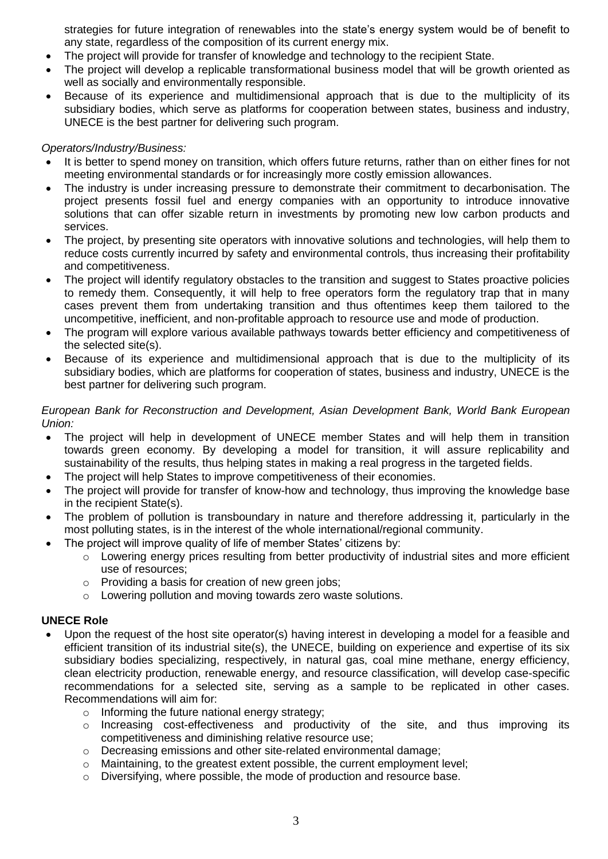strategies for future integration of renewables into the state's energy system would be of benefit to any state, regardless of the composition of its current energy mix.

- The project will provide for transfer of knowledge and technology to the recipient State.
- The project will develop a replicable transformational business model that will be growth oriented as well as socially and environmentally responsible.
- Because of its experience and multidimensional approach that is due to the multiplicity of its subsidiary bodies, which serve as platforms for cooperation between states, business and industry, UNECE is the best partner for delivering such program.

#### *Operators/Industry/Business:*

- It is better to spend money on transition, which offers future returns, rather than on either fines for not meeting environmental standards or for increasingly more costly emission allowances.
- The industry is under increasing pressure to demonstrate their commitment to decarbonisation. The project presents fossil fuel and energy companies with an opportunity to introduce innovative solutions that can offer sizable return in investments by promoting new low carbon products and services.
- The project, by presenting site operators with innovative solutions and technologies, will help them to reduce costs currently incurred by safety and environmental controls, thus increasing their profitability and competitiveness.
- The project will identify regulatory obstacles to the transition and suggest to States proactive policies to remedy them. Consequently, it will help to free operators form the regulatory trap that in many cases prevent them from undertaking transition and thus oftentimes keep them tailored to the uncompetitive, inefficient, and non-profitable approach to resource use and mode of production.
- The program will explore various available pathways towards better efficiency and competitiveness of the selected site(s).
- Because of its experience and multidimensional approach that is due to the multiplicity of its subsidiary bodies, which are platforms for cooperation of states, business and industry, UNECE is the best partner for delivering such program.

#### *European Bank for Reconstruction and Development, Asian Development Bank, World Bank European Union:*

- The project will help in development of UNECE member States and will help them in transition towards green economy. By developing a model for transition, it will assure replicability and sustainability of the results, thus helping states in making a real progress in the targeted fields.
- The project will help States to improve competitiveness of their economies.
- The project will provide for transfer of know-how and technology, thus improving the knowledge base in the recipient State(s).
- The problem of pollution is transboundary in nature and therefore addressing it, particularly in the most polluting states, is in the interest of the whole international/regional community.
- The project will improve quality of life of member States' citizens by:
	- o Lowering energy prices resulting from better productivity of industrial sites and more efficient use of resources;
	- o Providing a basis for creation of new green jobs;
	- o Lowering pollution and moving towards zero waste solutions.

#### **UNECE Role**

- Upon the request of the host site operator(s) having interest in developing a model for a feasible and efficient transition of its industrial site(s), the UNECE, building on experience and expertise of its six subsidiary bodies specializing, respectively, in natural gas, coal mine methane, energy efficiency, clean electricity production, renewable energy, and resource classification, will develop case-specific recommendations for a selected site, serving as a sample to be replicated in other cases. Recommendations will aim for:
	- o Informing the future national energy strategy;
	- $\circ$  Increasing cost-effectiveness and productivity of the site, and thus improving its competitiveness and diminishing relative resource use;
	- o Decreasing emissions and other site-related environmental damage;
	- o Maintaining, to the greatest extent possible, the current employment level;
	- o Diversifying, where possible, the mode of production and resource base.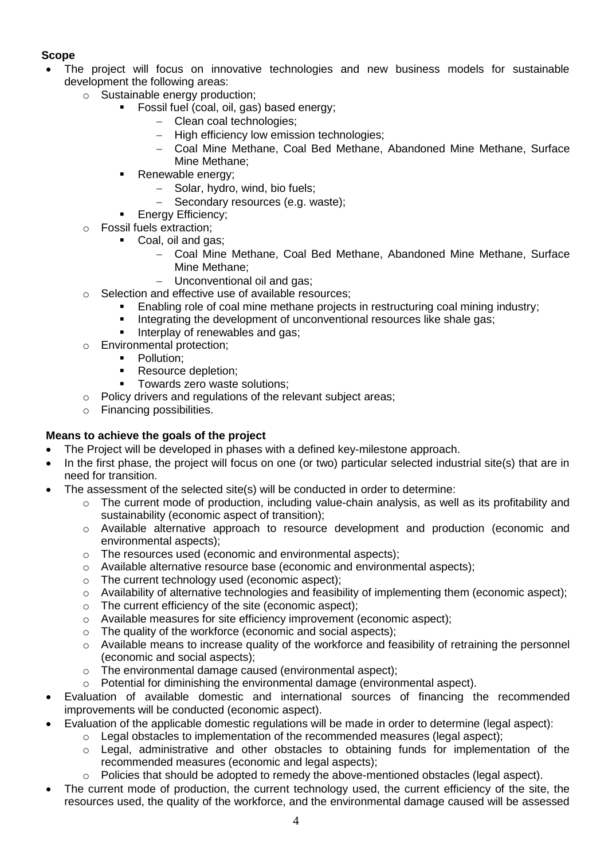# **Scope**

- The project will focus on innovative technologies and new business models for sustainable development the following areas:
	- o Sustainable energy production;
		- Fossil fuel (coal, oil, gas) based energy;
			- Clean coal technologies;
			- High efficiency low emission technologies;
			- Coal Mine Methane, Coal Bed Methane, Abandoned Mine Methane, Surface Mine Methane;
		- **Renewable energy:** 
			- Solar, hydro, wind, bio fuels;
			- Secondary resources (e.g. waste);
			- Energy Efficiency;
	- o Fossil fuels extraction;
		- Coal, oil and gas:
			- Coal Mine Methane, Coal Bed Methane, Abandoned Mine Methane, Surface Mine Methane;
			- Unconventional oil and gas;
	- o Selection and effective use of available resources;
		- Enabling role of coal mine methane projects in restructuring coal mining industry;
		- Integrating the development of unconventional resources like shale gas;
		- Interplay of renewables and gas;
	- o Environmental protection;
		- Pollution;
		- Resource depletion;
		- Towards zero waste solutions;
	- o Policy drivers and regulations of the relevant subject areas;
	- o Financing possibilities.

## **Means to achieve the goals of the project**

- The Project will be developed in phases with a defined key-milestone approach.
- In the first phase, the project will focus on one (or two) particular selected industrial site(s) that are in need for transition.
- The assessment of the selected site(s) will be conducted in order to determine:
	- $\circ$  The current mode of production, including value-chain analysis, as well as its profitability and sustainability (economic aspect of transition);
	- o Available alternative approach to resource development and production (economic and environmental aspects);
	- o The resources used (economic and environmental aspects);
	- $\circ$  Available alternative resource base (economic and environmental aspects);
	- o The current technology used (economic aspect);
	- $\circ$  Availability of alternative technologies and feasibility of implementing them (economic aspect);
	- o The current efficiency of the site (economic aspect);
	- o Available measures for site efficiency improvement (economic aspect);
	- o The quality of the workforce (economic and social aspects);
	- $\circ$  Available means to increase quality of the workforce and feasibility of retraining the personnel (economic and social aspects);
	- o The environmental damage caused (environmental aspect);
	- o Potential for diminishing the environmental damage (environmental aspect).
- Evaluation of available domestic and international sources of financing the recommended improvements will be conducted (economic aspect).
- Evaluation of the applicable domestic regulations will be made in order to determine (legal aspect):
	- $\circ$  Legal obstacles to implementation of the recommended measures (legal aspect);
	- o Legal, administrative and other obstacles to obtaining funds for implementation of the recommended measures (economic and legal aspects);
	- o Policies that should be adopted to remedy the above-mentioned obstacles (legal aspect).
- The current mode of production, the current technology used, the current efficiency of the site, the resources used, the quality of the workforce, and the environmental damage caused will be assessed